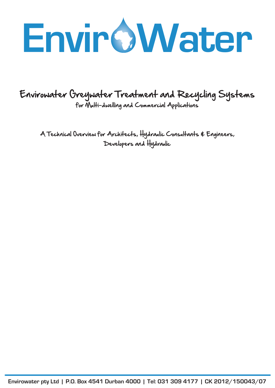

# Envirowater Greywater Treatment and Recycling Systems

for Multi-dwelling and Commercial Applications

A Technical Overview for Architects, Hydraulic Consultants & Engineers, Developers and Hydraulic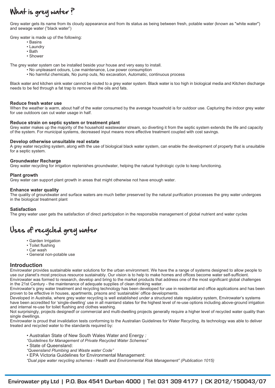## What is grey water?

Grey water gets its name from its cloudy appearance and from its status as being between fresh, potable water (known as "white water") and sewage water ("black water")

Grey water is made up of the following:

- Basins
- Laundrv
- Bath
- Shower

The grey water system can be installed beside your house and very easy to install.

- No unpleasant odours, Low maintenance, Low power consumption
- No harmful chemicals, No pump outs, No excavation, Automatic, continuous process

Black water and kitchen sink water cannot be routed to a grey water system. Black water is too high in biological media and Kitchen discharge needs to be fed through a fat trap to remove all the oils and fats.

#### **Reduce fresh water use**

When the weather is warm, about half of the water consumed by the average household is for outdoor use. Capturing the indoor grey water for use outdoors can cut water usage in half.

#### Reduce strain on septic system or treatment plant

Grey water makes up the majority of the household wastewater stream, so diverting it from the septic system extends the life and capacity of the system. For municipal systems, decreased input means more effective treatment coupled with cost savings.

#### Develop otherwise unsuitable real estate

A grey water recycling system, along with the use of biological black water system, can enable the development of property that is unsuitable for a septic system.

#### **Groundwater Recharge**

Grey water recycling for irrigation replenishes groundwater, helping the natural hydrologic cycle to keep functioning.

#### **Plant growth**

Grey water can support plant growth in areas that might otherwise not have enough water.

#### **Enhance water quality**

The quality of groundwater and surface waters are much better preserved by the natural purification processes the grey water undergoes in the biological treatment plant

### **Satisfaction**

The grey water user gets the satisfaction of direct participation in the responsible management of global nutrient and water cycles

### Uses of recycled grey water

- · Garden Irrigation
- Toilet flushing
- Car wash
- · General non-potable use

### **Introduction**

Envirowater provides sustainable water solutions for the urban environment. We have the a range of systems designed to allow people to use our planet's most precious resource sustainably. Our vision is to help to make homes and offices become water self-sufficient. Envirowater was formed to research, develop and bring to the market products that address one of the most significant global challenges in the 21st Century - the maintenance of adequate supplies of clean drinking water.

Envirowater's grey water treatment and recycling technology has been developed for use in residential and office applications and has been proven to be effective in houses, apartments, prisons and 'sustainable' office developments.

Developed in Australia, where grey water recycling is well established under a structured state regulatory system. Envirowater's systems have been accredited for 'single-dwelling' use in all mainland states for the highest level of re-use options including above-ground irrigation and internal re-use for toilet flushing and clothes washing.

Not surprisingly, projects designedf or commercial and multi-dwelling projects generally require a higher level of recycled water quality than single dwellings.

Envirowater is proud that invalidation tests conforming to the Australian Guidelines for Water Recycling, its technology was able to deliver treated and recycled water to the standards required by:

- . Australian State of New South Wales Water and Energy:
- "Guidelines for Management of Private Recycled Water Schemes"
- · State of Queensland:
- "Queensland Plumbing and Waste water Code"
- EPA Victoria Guidelines for Environmental Management:

"Dual pipe water recycling schemes - Health and Environmental Risk Management" (Publication 1015)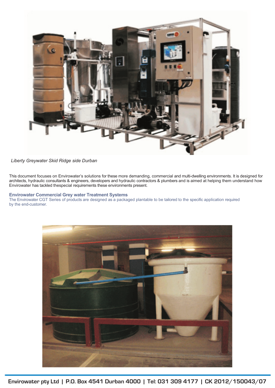

Liberty Greywater Skid Ridge side Durban

This document focuses on Envirowater's solutions for these more demanding, commercial and multi-dwelling environments. It is designed for architects, hydraulic consultants & engineers, developers and hydraulic contractors & plumbers and is aimed at helping them understand how Envirowater has tackled thespecial requirements these environments present.

#### **Envirowater Commercial Grey water Treatment Systems**

The Envirowater CGT Series of products are designed as a packaged plantable to be tailored to the specific application required by the end-customer.

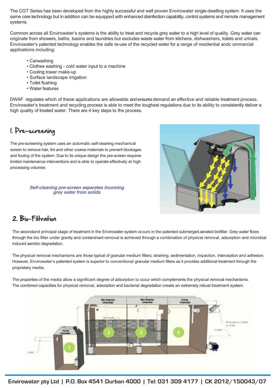The CGT Series has been developed from the highly successful and well proven Envirowater single-dwelling system. It uses the same core technology but in addition can be equipped with enhanced disinfection capability, control systems and remote management systems.

Common across all Envirowater's systems is the ability to treat and recycle grey water to a high level of quality. Grey water can originate from showers, baths, basins and laundries but excludes waste water from kitchens, dishwashers, toilets and urinals, Envirowater's patented technology enables the safe re-use of the recycled water for a range of residential andc ommercial applications including:

- Carwashing
- Clothes washing cold water input to a machine
- Cooling tower make-up
- · Surface landscape irrigation
- Toilet flushing
- Water features

DWAF regulates which of these applications are allowable and ensures demand an effective and reliable treatment process. Envirowater's treatment and recycling process is able to meet the toughest regulations due to its ability to consistently deliver a high quality of treated water. There are 4 key steps to the process.

### 1. Pre-screening

The pre-screening system uses an automatic self-cleaning mechanical screen to remove hair, lint and other coarse materials to prevent blockages and fouling of the system. Due to its unique design the pre-screen requires limited maintenance interventions and is able to operate effectively at high processing volumes

> Self-cleaning pre-screen separates incoming grey water from solids



### 2 Bio-Filtration

The secondand principal stage of treatment in the Envirowater system occurs in the patented submerged, aerated biofilter. Grey water flows through the bio filter under gravity and contaminant removal is achieved through a combination of physical removal, adsorption and microbial induced aerobic degradation.

The physical removal mechanisms are those typical of granular medium filters; straining, sedimentation, impaction, interception and adhesion. However. Envirowater's patented system is superior to conventional granular medium filters as it provides additional treatment through the proprietary media.

The properties of the media allow a significant degree of adsorption to occur which complements the physical removal mechanisms. The combined capacities for physical removal, adsorption and bacterial degradation create an extremely robust treatment system.

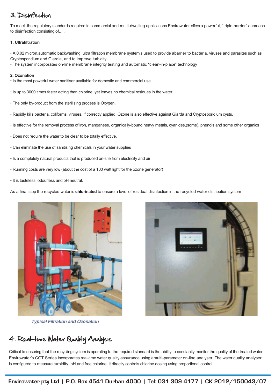### 3. Disinfection

To meet the regulatory standards required in commercial and multi-dwelling applications Envirowater offers a powerful, "triple-barrier" approach to disinfection consisting of.....

### 1. Ultrafiltration

. A 0.02 micron, automatic backwashing, ultra filtration membrane system's used to provide abarrier to bacteria, viruses and parasites such as Cryptosporidium and Giardia, and to improve turbidity

• The system incorporates on-line membrane integrity testing and automatic "clean-in-place" technology

#### 2. Ozonation

- . Is the most powerful water sanitiser available for domestic and commercial use.
- . Is up to 3000 times faster acting than chlorine, yet leaves no chemical residues in the water.
- The only by-product from the sterilising process is Oxygen.
- . Rapidly kills bacteria, coliforms, viruses. If correctly applied, Ozone is also effective against Giarda and Cryptosporidium cysts.
- Is effective for the removal process of iron, manganese, organically-bound heavy metals, cyanides, (some), phenols and some other organics
- . Does not require the water to be clear to be totally effective.
- Can eliminate the use of sanitising chemicals in your water supplies
- . Is a completely natural products that is produced on-site from electricity and air
- . Running costs are very low (about the cost of a 100 watt light for the ozone generator)
- It is tasteless, odourless and pH neutral.

As a final step the recycled water is chlorinated to ensure a level of residual disinfection in the recycled water distribution system



**Typical Filtration and Ozonation** 



## 4. Real-time Water Quality Analysis

Critical to ensuring that the recycling system is operating to the required standard is the ability to constantly monitor the quality of the treated water. Envirowater's CGT Series incorporates real-time water quality assurance using amulti-parameter on-line analyser. The water quality analyser is configured to measure turbidity, pH and free chlorine. It directly controls chlorine dosing using proportional control.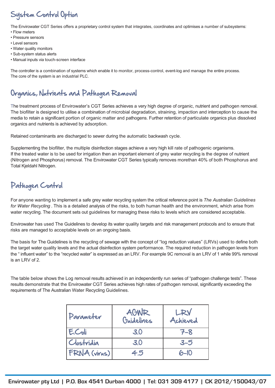## System Control Option

The Envirowater CGT Series offers a proprietary control system that integrates, coordinates and optimises a number of subsystems: • Flow meters

- Pressure sensors
- · Level sensors
- Water quality monitors
- · Sub-system status alerts
- · Manual inputs via touch-screen interface

The controller is a combination of systems which enable it to monitor, process-control, event-log and manage the entire process. The core of the system is an industrial PLC.

### Organics, Nutrients and Pathogen Removal

The treatment process of Envirowater's CGT Series achieves a very high degree of organic, nutrient and pathogen removal. The biofilter is designed to utilise a combination of microbial degradation, straining, impaction and interception to cause the media to retain a significant portion of organic matter and pathogens. Further retention of particulate organics plus dissolved organics and nutrients is achieved by adsorption.

Retained contaminants are discharged to sewer during the automatic backwash cycle.

Supplementing the biofilter, the multiple disinfection stages achieve a very high kill rate of pathogenic organisms. If the treated water is to be used for irrigation then an important element of grey water recycling is the degree of nutrient (Nitrogen and Phosphorus) removal. The Envirowater CGT Series typically removes morethan 40% of both Phosphorus and Total Kjeldahl Nitrogen.

## Pathogen Control

For anyone wanting to implement a safe grey water recycling system the critical reference point is The Australian Guidelines for Water Recycling. This is a detailed analysis of the risks, to both human health and the environment, which arise from water recycling. The document sets out guidelines for managing these risks to levels which are considered acceptable.

Envirowater has used The Guidelines to develop its water quality targets and risk management protocols and to ensure that risks are managed to acceptable levels on an ongoing basis.

The basis for The Guidelines is the recycling of sewage with the concept of "log reduction values" (LRVs) used to define both the target water quality levels and the actual disinfection system performance. The required reduction in pathogen levels from the "influent water" to the "recycled water" is expressed as an LRV. For example 9C removal is an LRV of 1 while 99% removal is an LRV of 2.

The table below shows the Log removal results achieved in an independently run series of "pathogen challenge tests". These results demonstrate that the Envirowater CGT Series achieves high rates of pathogen removal, significantly exceeding the requirements of The Australian Water Recycling Guidelines.

| Paraneter    | AGWR<br>Guidelines | LRV<br>Achieved |
|--------------|--------------------|-----------------|
| E.Coli       | 3.0                | 7–8             |
| Clostridia   | 3.0                | $3 - 5$         |
| FRNA (virus) | 4.5                | $6 - 10$        |